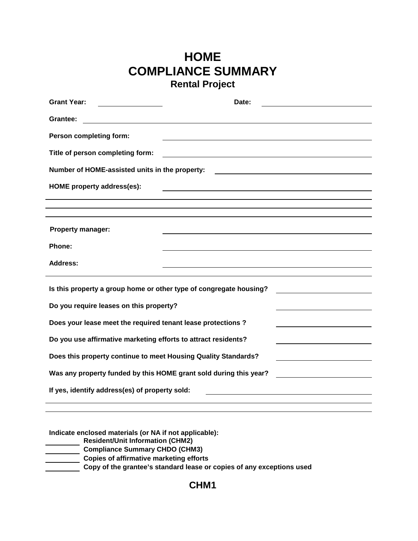## **HOME COMPLIANCE SUMMARY Rental Project**

| <b>Grant Year:</b>                                                                                                                                                                         | Date: |  |  |  |  |  |  |
|--------------------------------------------------------------------------------------------------------------------------------------------------------------------------------------------|-------|--|--|--|--|--|--|
| Grantee:                                                                                                                                                                                   |       |  |  |  |  |  |  |
| Person completing form:                                                                                                                                                                    |       |  |  |  |  |  |  |
| Title of person completing form:                                                                                                                                                           |       |  |  |  |  |  |  |
| Number of HOME-assisted units in the property:<br><u> 1989 - Andrea Stadt Britain, amerikansk politik (</u>                                                                                |       |  |  |  |  |  |  |
| <b>HOME</b> property address(es):                                                                                                                                                          |       |  |  |  |  |  |  |
|                                                                                                                                                                                            |       |  |  |  |  |  |  |
|                                                                                                                                                                                            |       |  |  |  |  |  |  |
| <b>Property manager:</b>                                                                                                                                                                   |       |  |  |  |  |  |  |
| Phone:                                                                                                                                                                                     |       |  |  |  |  |  |  |
| <b>Address:</b>                                                                                                                                                                            |       |  |  |  |  |  |  |
|                                                                                                                                                                                            |       |  |  |  |  |  |  |
| Is this property a group home or other type of congregate housing?                                                                                                                         |       |  |  |  |  |  |  |
| Do you require leases on this property?                                                                                                                                                    |       |  |  |  |  |  |  |
| Does your lease meet the required tenant lease protections ?                                                                                                                               |       |  |  |  |  |  |  |
| Do you use affirmative marketing efforts to attract residents?                                                                                                                             |       |  |  |  |  |  |  |
| Does this property continue to meet Housing Quality Standards?                                                                                                                             |       |  |  |  |  |  |  |
| Was any property funded by this HOME grant sold during this year?<br><u> 1989 - John Stein, mars and de Branch and de Branch and de Branch and de Branch and de Branch and de Branch a</u> |       |  |  |  |  |  |  |
| If yes, identify address(es) of property sold:                                                                                                                                             |       |  |  |  |  |  |  |
|                                                                                                                                                                                            |       |  |  |  |  |  |  |

**Indicate enclosed materials (or NA if not applicable):**

**Resident/Unit Information (CHM2)**

- **Compliance Summary CHDO (CHM3)**
- **Copies of affirmative marketing efforts**

**Copy of the grantee's standard lease or copies of any exceptions used**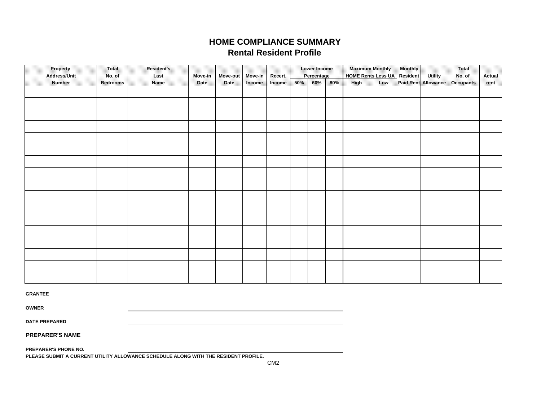## **HOME COMPLIANCE SUMMARY Rental Resident Profile**

| Property<br>Total<br>Address/Unit<br>No. of |                 | <b>Resident's</b><br>Last | Move-in | Move-out<br>Date | Move-in<br>Income | Recert.<br>Income | Lower Income<br>Percentage |     |     | <b>Maximum Monthly</b><br><b>HOME Rents Less UA</b> |     | <b>Monthly</b><br>Resident | <b>Utility</b>      | <b>Total</b><br>No. of | Actual |
|---------------------------------------------|-----------------|---------------------------|---------|------------------|-------------------|-------------------|----------------------------|-----|-----|-----------------------------------------------------|-----|----------------------------|---------------------|------------------------|--------|
| <b>Number</b>                               | <b>Bedrooms</b> | Name                      |         |                  |                   |                   | 50%                        | 60% | 80% | High                                                | Low |                            | Paid Rent Allowance | <b>Occupants</b>       | rent   |
|                                             |                 |                           | Date    |                  |                   |                   |                            |     |     |                                                     |     |                            |                     |                        |        |
|                                             |                 |                           |         |                  |                   |                   |                            |     |     |                                                     |     |                            |                     |                        |        |
|                                             |                 |                           |         |                  |                   |                   |                            |     |     |                                                     |     |                            |                     |                        |        |
|                                             |                 |                           |         |                  |                   |                   |                            |     |     |                                                     |     |                            |                     |                        |        |
|                                             |                 |                           |         |                  |                   |                   |                            |     |     |                                                     |     |                            |                     |                        |        |
|                                             |                 |                           |         |                  |                   |                   |                            |     |     |                                                     |     |                            |                     |                        |        |
|                                             |                 |                           |         |                  |                   |                   |                            |     |     |                                                     |     |                            |                     |                        |        |
|                                             |                 |                           |         |                  |                   |                   |                            |     |     |                                                     |     |                            |                     |                        |        |
|                                             |                 |                           |         |                  |                   |                   |                            |     |     |                                                     |     |                            |                     |                        |        |
|                                             |                 |                           |         |                  |                   |                   |                            |     |     |                                                     |     |                            |                     |                        |        |
|                                             |                 |                           |         |                  |                   |                   |                            |     |     |                                                     |     |                            |                     |                        |        |
|                                             |                 |                           |         |                  |                   |                   |                            |     |     |                                                     |     |                            |                     |                        |        |
|                                             |                 |                           |         |                  |                   |                   |                            |     |     |                                                     |     |                            |                     |                        |        |
|                                             |                 |                           |         |                  |                   |                   |                            |     |     |                                                     |     |                            |                     |                        |        |
| <b>GRANTEE</b>                              |                 |                           |         |                  |                   |                   |                            |     |     |                                                     |     |                            |                     |                        |        |
| <b>OWNER</b>                                |                 |                           |         |                  |                   |                   |                            |     |     |                                                     |     |                            |                     |                        |        |
| <b>DATE PREPARED</b>                        |                 |                           |         |                  |                   |                   |                            |     |     |                                                     |     |                            |                     |                        |        |

**PREPARER'S NAME**

**PREPARER'S PHONE NO.**

**PLEASE SUBMIT A CURRENT UTILITY ALLOWANCE SCHEDULE ALONG WITH THE RESIDENT PROFILE.**